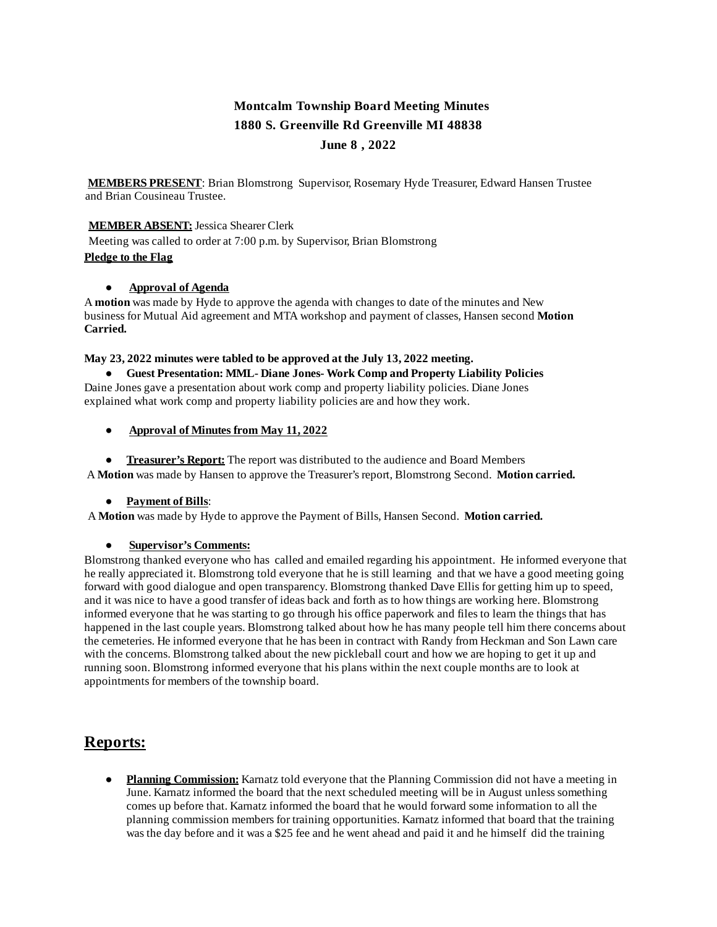# **Montcalm Township Board Meeting Minutes 1880 S. Greenville Rd Greenville MI 48838 June 8 , 2022**

**MEMBERS PRESENT**: Brian Blomstrong Supervisor, Rosemary Hyde Treasurer, Edward Hansen Trustee and Brian Cousineau Trustee.

## **MEMBER ABSENT:**Jessica Shearer Clerk

Meeting was called to order at 7:00 p.m. by Supervisor, Brian Blomstrong **Pledge to the Flag**

### **● Approval of Agenda**

A **motion** was made by Hyde to approve the agenda with changes to date of the minutes and New business for Mutual Aid agreement and MTA workshop and payment of classes, Hansen second **Motion Carried.**

### **May 23, 2022 minutes were tabled to be approved at the July 13, 2022 meeting.**

**● Guest Presentation: MML- Diane Jones- Work Comp and Property Liability Policies** Daine Jones gave a presentation about work comp and property liability policies. Diane Jones

explained what work comp and property liability policies are and how they work.

# ● **Approval of Minutes from May 11, 2022**

● **Treasurer's Report:** The report was distributed to the audience and Board Members A **Motion** was made by Hansen to approve the Treasurer's report, Blomstrong Second. **Motion carried.**

### ● **Payment of Bills**:

A **Motion** was made by Hyde to approve the Payment of Bills, Hansen Second. **Motion carried.**

### ● **Supervisor's Comments:**

Blomstrong thanked everyone who has called and emailed regarding his appointment. He informed everyone that he really appreciated it. Blomstrong told everyone that he is still learning and that we have a good meeting going forward with good dialogue and open transparency. Blomstrong thanked Dave Ellis for getting him up to speed, and it was nice to have a good transfer of ideas back and forth as to how things are working here. Blomstrong informed everyone that he was starting to go through his office paperwork and files to learn the things that has happened in the last couple years. Blomstrong talked about how he has many people tell him there concerns about the cemeteries. He informed everyone that he has been in contract with Randy from Heckman and Son Lawn care with the concerns. Blomstrong talked about the new pickleball court and how we are hoping to get it up and running soon. Blomstrong informed everyone that his plans within the next couple months are to look at appointments for members of the township board.

# **Reports:**

● **Planning Commission:** Karnatz told everyone that the Planning Commission did not have a meeting in June. Karnatz informed the board that the next scheduled meeting will be in August unless something comes up before that. Karnatz informed the board that he would forward some information to all the planning commission members for training opportunities. Karnatz informed that board that the training was the day before and it was a \$25 fee and he went ahead and paid it and he himself did the training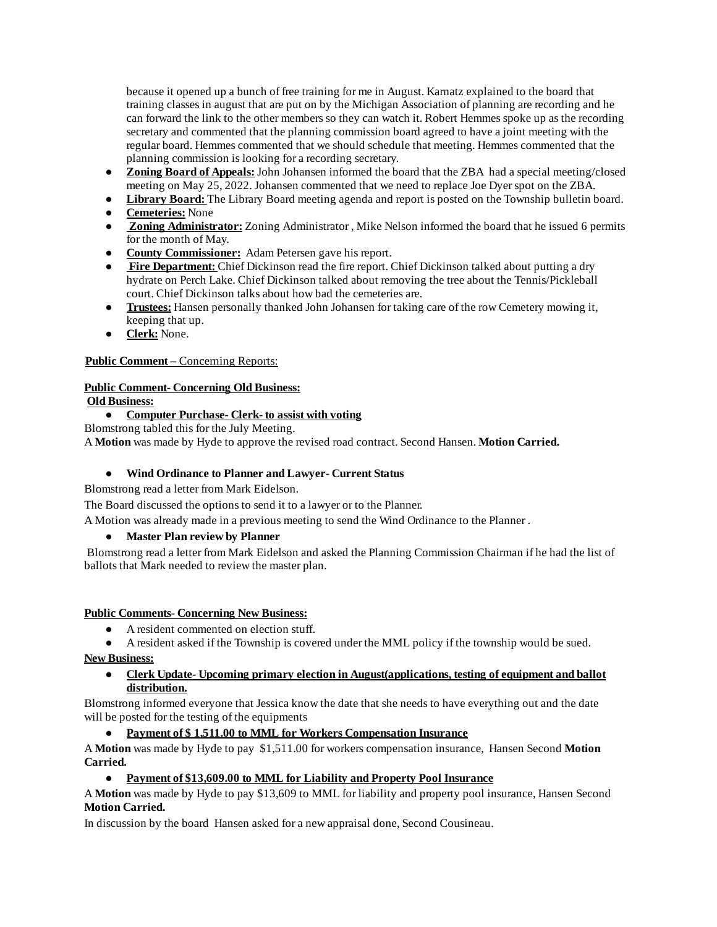because it opened up a bunch of free training for me in August. Karnatz explained to the board that training classes in august that are put on by the Michigan Association of planning are recording and he can forward the link to the other members so they can watch it. Robert Hemmes spoke up as the recording secretary and commented that the planning commission board agreed to have a joint meeting with the regular board. Hemmes commented that we should schedule that meeting. Hemmes commented that the planning commission is looking for a recording secretary.

- **Zoning Board of Appeals:**John Johansen informed the board that the ZBA had a special meeting/closed meeting on May 25, 2022. Johansen commented that we need to replace Joe Dyerspot on the ZBA.
- **Library Board:** The Library Board meeting agenda and report is posted on the Township bulletin board.
- **Cemeteries:** None
- **Zoning Administrator:** Zoning Administrator, Mike Nelson informed the board that he issued 6 permits for the month of May.
- **County Commissioner:** Adam Petersen gave his report.
- **Fire Department:** Chief Dickinson read the fire report. Chief Dickinson talked about putting a dry hydrate on Perch Lake. Chief Dickinson talked about removing the tree about the Tennis/Pickleball court. Chief Dickinson talks about how bad the cemeteries are.
- **Trustees:** Hansen personally thanked John Johansen for taking care of the row Cemetery mowing it, keeping that up.
- **Clerk:** None.

# **Public Comment –** Concerning Reports:

# **Public Comment- Concerning Old Business:**

**Old Business:**

# **● Computer Purchase- Clerk- to assist with voting**

Blomstrong tabled this for the July Meeting.

A **Motion** was made by Hyde to approve the revised road contract. Second Hansen. **Motion Carried.**

# **● Wind Ordinance to Planner and Lawyer- Current Status**

Blomstrong read a letter from Mark Eidelson.

The Board discussed the options to send it to a lawyer or to the Planner.

A Motion was already made in a previous meeting to send the Wind Ordinance to the Planner .

# **● Master Plan review by Planner**

Blomstrong read a letter from Mark Eidelson and asked the Planning Commission Chairman if he had the list of ballots that Mark needed to review the master plan.

### **Public Comments- Concerning New Business:**

- A resident commented on election stuff.
- A resident asked if the Township is covered under the MML policy if the township would be sued.

**New Business:**

**● Clerk Update- Upcoming primary election in August(applications, testing of equipment and ballot distribution.**

Blomstrong informed everyone that Jessica know the date that she needs to have everything out and the date will be posted for the testing of the equipments

## **● Payment of \$ 1,511.00 to MML for Workers Compensation Insurance**

A **Motion** was made by Hyde to pay \$1,511.00 for workers compensation insurance, Hansen Second **Motion Carried.**

### **● Payment of \$13,609.00 to MML for Liability and Property Pool Insurance**

A **Motion** was made by Hyde to pay \$13,609 to MML for liability and property pool insurance, Hansen Second **Motion Carried.**

In discussion by the board Hansen asked for a new appraisal done, Second Cousineau.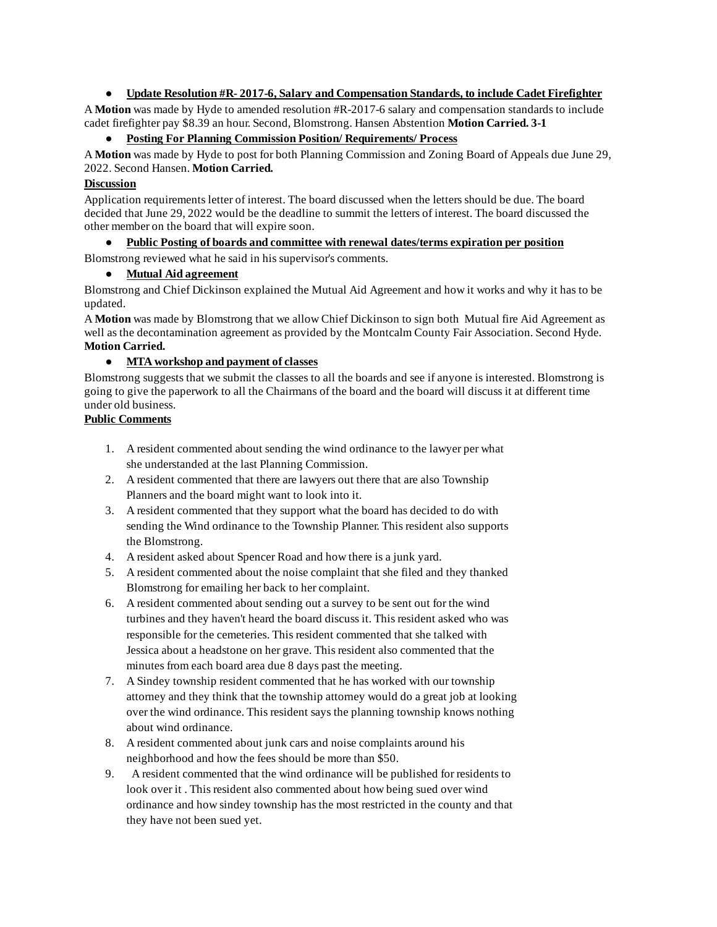## **● Update Resolution #R- 2017-6, Salary and Compensation Standards, to include Cadet Firefighter**

A **Motion** was made by Hyde to amended resolution #R-2017-6 salary and compensation standards to include cadet firefighter pay \$8.39 an hour. Second, Blomstrong. Hansen Abstention **Motion Carried. 3-1**

## **● Posting For Planning Commission Position/ Requirements/ Process**

A **Motion** was made by Hyde to post for both Planning Commission and Zoning Board of Appeals due June 29, 2022. Second Hansen. **Motion Carried.**

## **Discussion**

Application requirements letter of interest. The board discussed when the letters should be due. The board decided that June 29, 2022 would be the deadline to summit the letters of interest. The board discussed the other member on the board that will expire soon.

### **● Public Posting of boards and committee with renewal dates/terms expiration per position**

Blomstrong reviewed what he said in his supervisor's comments.

## **● Mutual Aid agreement**

Blomstrong and Chief Dickinson explained the Mutual Aid Agreement and how it works and why it has to be updated.

A **Motion** was made by Blomstrong that we allow Chief Dickinson to sign both Mutual fire Aid Agreement as well as the decontamination agreement as provided by the Montcalm County Fair Association. Second Hyde. **Motion Carried.**

## **● MTA workshop and payment of classes**

Blomstrong suggests that we submit the classes to all the boards and see if anyone is interested. Blomstrong is going to give the paperwork to all the Chairmans of the board and the board will discuss it at different time under old business.

## **Public Comments**

- 1. A resident commented about sending the wind ordinance to the lawyer per what she understanded at the last Planning Commission.
- 2. A resident commented that there are lawyers out there that are also Township Planners and the board might want to look into it.
- 3. A resident commented that they support what the board has decided to do with sending the Wind ordinance to the Township Planner. This resident also supports the Blomstrong.
- 4. A resident asked about Spencer Road and how there is a junk yard.
- 5. A resident commented about the noise complaint that she filed and they thanked Blomstrong for emailing her back to her complaint.
- 6. A resident commented about sending out a survey to be sent out for the wind turbines and they haven't heard the board discuss it. This resident asked who was responsible for the cemeteries. This resident commented that she talked with Jessica about a headstone on her grave. This resident also commented that the minutes from each board area due 8 days past the meeting.
- 7. A Sindey township resident commented that he has worked with our township attorney and they think that the township attorney would do a great job at looking over the wind ordinance. This resident says the planning township knows nothing about wind ordinance.
- 8. A resident commented about junk cars and noise complaints around his neighborhood and how the fees should be more than \$50.
- 9. A resident commented that the wind ordinance will be published for residents to look over it . This resident also commented about how being sued over wind ordinance and how sindey township has the most restricted in the county and that they have not been sued yet.